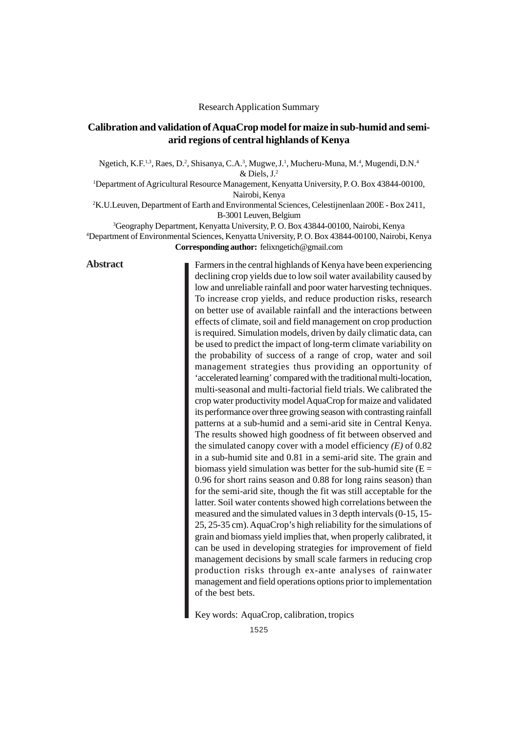## Research Application Summary

# **Calibration and validation of AquaCrop model for maize in sub-humid and semiarid regions of central highlands of Kenya**

Ngetich, K.F.<sup>1,3</sup>, Raes, D.<sup>2</sup>, Shisanya, C.A.<sup>3</sup>, Mugwe, J.<sup>1</sup>, Mucheru-Muna, M.<sup>4</sup>, Mugendi, D.N.<sup>4</sup> & Diels, J.2

1 Department of Agricultural Resource Management, Kenyatta University, P. O. Box 43844-00100, Nairobi, Kenya

2 K.U.Leuven, Department of Earth and Environmental Sciences, Celestijnenlaan 200E - Box 2411, B-3001 Leuven, Belgium

3 Geography Department, Kenyatta University, P. O. Box 43844-00100, Nairobi, Kenya 4 Department of Environmental Sciences, Kenyatta University, P. O. Box 43844-00100, Nairobi, Kenya **Corresponding author:** felixngetich@gmail.com

# **Abstract**

Farmers in the central highlands of Kenya have been experiencing declining crop yields due to low soil water availability caused by low and unreliable rainfall and poor water harvesting techniques. To increase crop yields, and reduce production risks, research on better use of available rainfall and the interactions between effects of climate, soil and field management on crop production is required. Simulation models, driven by daily climatic data, can be used to predict the impact of long-term climate variability on the probability of success of a range of crop, water and soil management strategies thus providing an opportunity of 'accelerated learning' compared with the traditional multi-location, multi-seasonal and multi-factorial field trials. We calibrated the crop water productivity model AquaCrop for maize and validated its performance over three growing season with contrasting rainfall patterns at a sub-humid and a semi-arid site in Central Kenya. The results showed high goodness of fit between observed and the simulated canopy cover with a model efficiency *(E)* of 0.82 in a sub-humid site and 0.81 in a semi-arid site. The grain and biomass yield simulation was better for the sub-humid site  $(E =$ 0.96 for short rains season and 0.88 for long rains season) than for the semi-arid site, though the fit was still acceptable for the latter. Soil water contents showed high correlations between the measured and the simulated values in 3 depth intervals (0-15, 15- 25, 25-35 cm). AquaCrop's high reliability for the simulations of grain and biomass yield implies that, when properly calibrated, it can be used in developing strategies for improvement of field management decisions by small scale farmers in reducing crop production risks through ex-ante analyses of rainwater management and field operations options prior to implementation of the best bets.

Key words: AquaCrop, calibration, tropics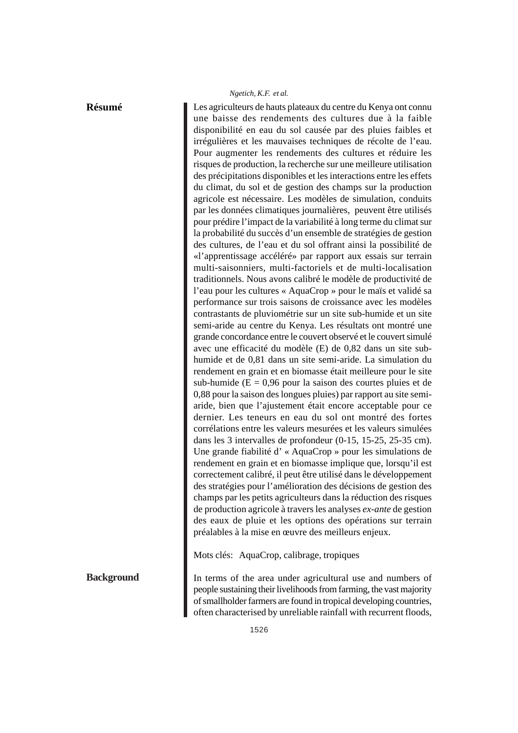## **Résumé**

**Background**

Les agriculteurs de hauts plateaux du centre du Kenya ont connu une baisse des rendements des cultures due à la faible disponibilité en eau du sol causée par des pluies faibles et irrégulières et les mauvaises techniques de récolte de l'eau. Pour augmenter les rendements des cultures et réduire les risques de production, la recherche sur une meilleure utilisation des précipitations disponibles et les interactions entre les effets du climat, du sol et de gestion des champs sur la production agricole est nécessaire. Les modèles de simulation, conduits par les données climatiques journalières, peuvent être utilisés pour prédire l'impact de la variabilité à long terme du climat sur la probabilité du succès d'un ensemble de stratégies de gestion des cultures, de l'eau et du sol offrant ainsi la possibilité de «l'apprentissage accéléré» par rapport aux essais sur terrain multi-saisonniers, multi-factoriels et de multi-localisation traditionnels. Nous avons calibré le modèle de productivité de l'eau pour les cultures « AquaCrop » pour le maïs et validé sa performance sur trois saisons de croissance avec les modèles contrastants de pluviométrie sur un site sub-humide et un site semi-aride au centre du Kenya. Les résultats ont montré une grande concordance entre le couvert observé et le couvert simulé avec une efficacité du modèle (E) de 0,82 dans un site subhumide et de 0,81 dans un site semi-aride. La simulation du rendement en grain et en biomasse était meilleure pour le site sub-humide ( $E = 0.96$  pour la saison des courtes pluies et de 0,88 pour la saison des longues pluies) par rapport au site semiaride, bien que l'ajustement était encore acceptable pour ce dernier. Les teneurs en eau du sol ont montré des fortes corrélations entre les valeurs mesurées et les valeurs simulées dans les 3 intervalles de profondeur (0-15, 15-25, 25-35 cm). Une grande fiabilité d' « AquaCrop » pour les simulations de rendement en grain et en biomasse implique que, lorsqu'il est correctement calibré, il peut être utilisé dans le développement des stratégies pour l'amélioration des décisions de gestion des champs par les petits agriculteurs dans la réduction des risques de production agricole à travers les analyses *ex-ante* de gestion des eaux de pluie et les options des opérations sur terrain préalables à la mise en œuvre des meilleurs enjeux.

Mots clés: AquaCrop, calibrage, tropiques

In terms of the area under agricultural use and numbers of people sustaining their livelihoods from farming, the vast majority of smallholder farmers are found in tropical developing countries, often characterised by unreliable rainfall with recurrent floods,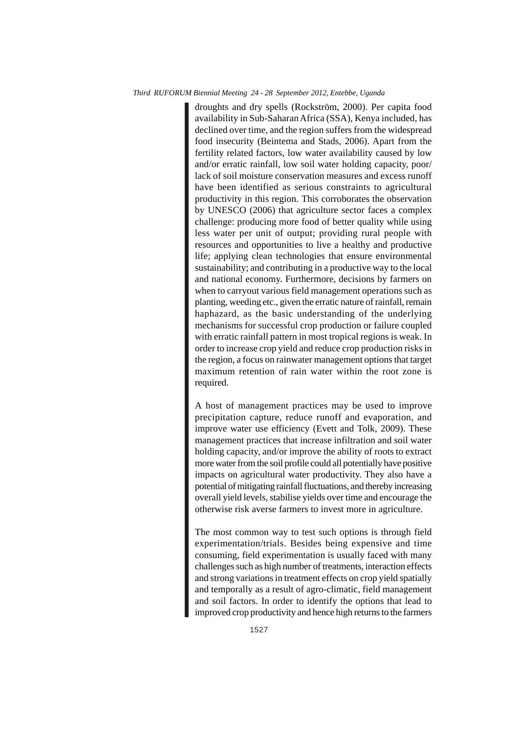droughts and dry spells (Rockström, 2000). Per capita food availability in Sub-Saharan Africa (SSA), Kenya included, has declined over time, and the region suffers from the widespread food insecurity (Beintema and Stads, 2006). Apart from the fertility related factors, low water availability caused by low and/or erratic rainfall, low soil water holding capacity, poor/ lack of soil moisture conservation measures and excess runoff have been identified as serious constraints to agricultural productivity in this region. This corroborates the observation by UNESCO (2006) that agriculture sector faces a complex challenge: producing more food of better quality while using less water per unit of output; providing rural people with resources and opportunities to live a healthy and productive life; applying clean technologies that ensure environmental sustainability; and contributing in a productive way to the local and national economy. Furthermore, decisions by farmers on when to carryout various field management operations such as planting, weeding etc., given the erratic nature of rainfall, remain haphazard, as the basic understanding of the underlying mechanisms for successful crop production or failure coupled with erratic rainfall pattern in most tropical regions is weak. In order to increase crop yield and reduce crop production risks in the region, a focus on rainwater management options that target maximum retention of rain water within the root zone is required.

A host of management practices may be used to improve precipitation capture, reduce runoff and evaporation, and improve water use efficiency (Evett and Tolk, 2009). These management practices that increase infiltration and soil water holding capacity, and/or improve the ability of roots to extract more water from the soil profile could all potentially have positive impacts on agricultural water productivity. They also have a potential of mitigating rainfall fluctuations, and thereby increasing overall yield levels, stabilise yields over time and encourage the otherwise risk averse farmers to invest more in agriculture.

The most common way to test such options is through field experimentation/trials. Besides being expensive and time consuming, field experimentation is usually faced with many challenges such as high number of treatments, interaction effects and strong variations in treatment effects on crop yield spatially and temporally as a result of agro-climatic, field management and soil factors. In order to identify the options that lead to improved crop productivity and hence high returns to the farmers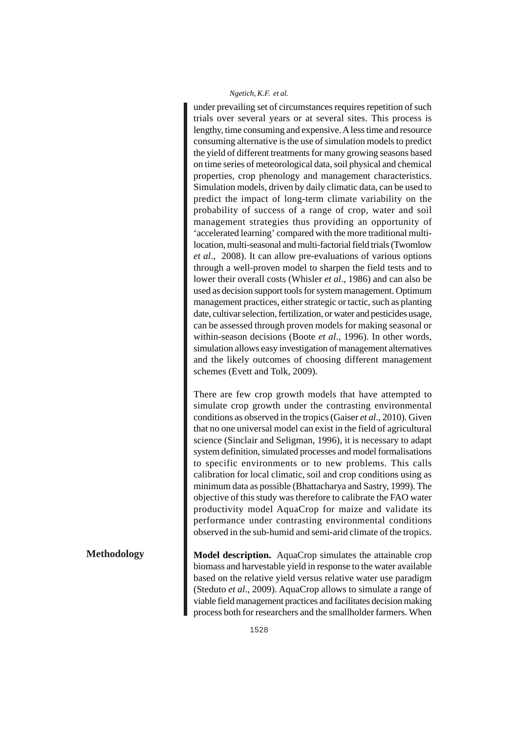under prevailing set of circumstances requires repetition of such trials over several years or at several sites. This process is lengthy, time consuming and expensive. A less time and resource consuming alternative is the use of simulation models to predict the yield of different treatments for many growing seasons based on time series of meteorological data, soil physical and chemical properties, crop phenology and management characteristics. Simulation models, driven by daily climatic data, can be used to predict the impact of long-term climate variability on the probability of success of a range of crop, water and soil management strategies thus providing an opportunity of 'accelerated learning' compared with the more traditional multilocation, multi-seasonal and multi-factorial field trials (Twomlow *et al*., 2008). It can allow pre-evaluations of various options through a well-proven model to sharpen the field tests and to lower their overall costs (Whisler *et al*., 1986) and can also be used as decision support tools for system management. Optimum management practices, either strategic or tactic, such as planting date, cultivar selection, fertilization, or water and pesticides usage, can be assessed through proven models for making seasonal or within-season decisions (Boote *et al*., 1996). In other words, simulation allows easy investigation of management alternatives and the likely outcomes of choosing different management schemes (Evett and Tolk, 2009).

There are few crop growth models that have attempted to simulate crop growth under the contrasting environmental conditions as observed in the tropics (Gaiser *et al*., 2010). Given that no one universal model can exist in the field of agricultural science (Sinclair and Seligman, 1996), it is necessary to adapt system definition, simulated processes and model formalisations to specific environments or to new problems. This calls calibration for local climatic, soil and crop conditions using as minimum data as possible (Bhattacharya and Sastry, 1999). The objective of this study was therefore to calibrate the FAO water productivity model AquaCrop for maize and validate its performance under contrasting environmental conditions observed in the sub-humid and semi-arid climate of the tropics.

**Model description.** AquaCrop simulates the attainable crop biomass and harvestable yield in response to the water available based on the relative yield versus relative water use paradigm (Steduto *et al*., 2009). AquaCrop allows to simulate a range of viable field management practices and facilitates decision making process both for researchers and the smallholder farmers. When

## **Methodology**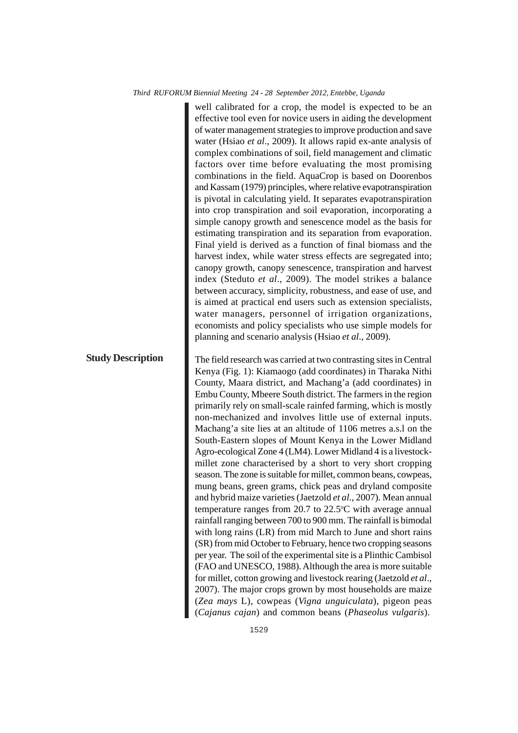**Study Description**

well calibrated for a crop, the model is expected to be an effective tool even for novice users in aiding the development of water management strategies to improve production and save water (Hsiao *et al*., 2009). It allows rapid ex-ante analysis of complex combinations of soil, field management and climatic factors over time before evaluating the most promising combinations in the field. AquaCrop is based on Doorenbos and Kassam (1979) principles, where relative evapotranspiration is pivotal in calculating yield. It separates evapotranspiration into crop transpiration and soil evaporation, incorporating a simple canopy growth and senescence model as the basis for estimating transpiration and its separation from evaporation. Final yield is derived as a function of final biomass and the harvest index, while water stress effects are segregated into; canopy growth, canopy senescence, transpiration and harvest index (Steduto *et al*., 2009). The model strikes a balance between accuracy, simplicity, robustness, and ease of use, and is aimed at practical end users such as extension specialists, water managers, personnel of irrigation organizations, economists and policy specialists who use simple models for planning and scenario analysis (Hsiao *et al*., 2009).

The field research was carried at two contrasting sites in Central Kenya (Fig. 1): Kiamaogo (add coordinates) in Tharaka Nithi County, Maara district, and Machang'a (add coordinates) in Embu County, Mbeere South district. The farmers in the region primarily rely on small-scale rainfed farming, which is mostly non-mechanized and involves little use of external inputs. Machang'a site lies at an altitude of 1106 metres a.s.l on the South-Eastern slopes of Mount Kenya in the Lower Midland Agro-ecological Zone 4 (LM4). Lower Midland 4 is a livestockmillet zone characterised by a short to very short cropping season. The zone is suitable for millet, common beans, cowpeas, mung beans, green grams, chick peas and dryland composite and hybrid maize varieties (Jaetzold *et al*., 2007). Mean annual temperature ranges from 20.7 to  $22.5^{\circ}$ C with average annual rainfall ranging between 700 to 900 mm. The rainfall is bimodal with long rains (LR) from mid March to June and short rains (SR) from mid October to February, hence two cropping seasons per year. The soil of the experimental site is a Plinthic Cambisol (FAO and UNESCO, 1988). Although the area is more suitable for millet, cotton growing and livestock rearing (Jaetzold *et al*., 2007). The major crops grown by most households are maize (*Zea mays* L), cowpeas (*Vigna unguiculata*), pigeon peas (*Cajanus cajan*) and common beans (*Phaseolus vulgaris*).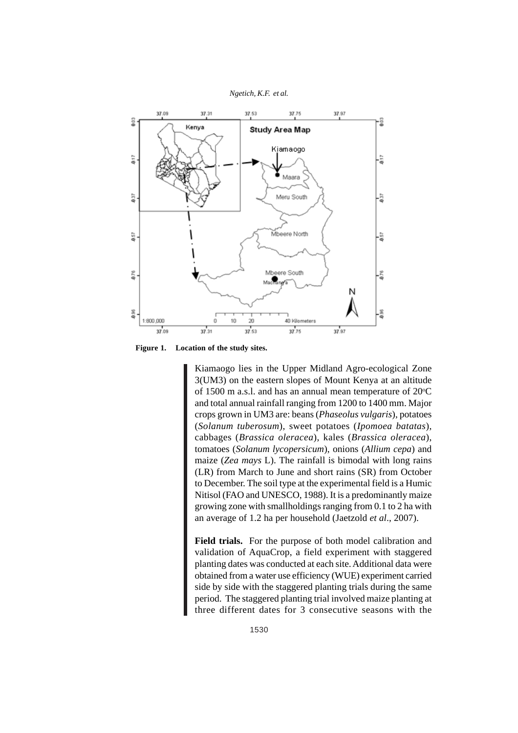

**Figure 1. Location of the study sites.**

Kiamaogo lies in the Upper Midland Agro-ecological Zone 3(UM3) on the eastern slopes of Mount Kenya at an altitude of 1500 m a.s.l. and has an annual mean temperature of 20°C and total annual rainfall ranging from 1200 to 1400 mm. Major crops grown in UM3 are: beans (*Phaseolus vulgaris*), potatoes (*Solanum tuberosum*), sweet potatoes (*Ipomoea batatas*), cabbages (*Brassica oleracea*), kales (*Brassica oleracea*), tomatoes (*Solanum lycopersicum*), onions (*Allium cepa*) and maize (*Zea mays* L). The rainfall is bimodal with long rains (LR) from March to June and short rains (SR) from October to December. The soil type at the experimental field is a Humic Nitisol (FAO and UNESCO, 1988). It is a predominantly maize growing zone with smallholdings ranging from 0.1 to 2 ha with an average of 1.2 ha per household (Jaetzold *et al*., 2007).

**Field trials.** For the purpose of both model calibration and validation of AquaCrop, a field experiment with staggered planting dates was conducted at each site. Additional data were obtained from a water use efficiency (WUE) experiment carried side by side with the staggered planting trials during the same period. The staggered planting trial involved maize planting at three different dates for 3 consecutive seasons with the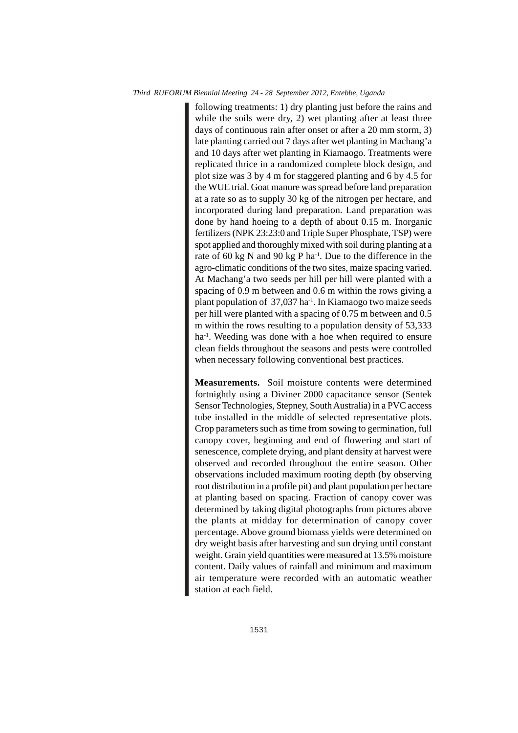following treatments: 1) dry planting just before the rains and while the soils were dry, 2) wet planting after at least three days of continuous rain after onset or after a 20 mm storm, 3) late planting carried out 7 days after wet planting in Machang'a and 10 days after wet planting in Kiamaogo. Treatments were replicated thrice in a randomized complete block design, and plot size was 3 by 4 m for staggered planting and 6 by 4.5 for the WUE trial. Goat manure was spread before land preparation at a rate so as to supply 30 kg of the nitrogen per hectare, and incorporated during land preparation. Land preparation was done by hand hoeing to a depth of about 0.15 m. Inorganic fertilizers (NPK 23:23:0 and Triple Super Phosphate, TSP) were spot applied and thoroughly mixed with soil during planting at a rate of 60 kg N and 90 kg P ha<sup>-1</sup>. Due to the difference in the agro-climatic conditions of the two sites, maize spacing varied. At Machang'a two seeds per hill per hill were planted with a spacing of 0.9 m between and 0.6 m within the rows giving a plant population of  $37,037$  ha<sup>-1</sup>. In Kiamaogo two maize seeds per hill were planted with a spacing of 0.75 m between and 0.5 m within the rows resulting to a population density of 53,333 ha<sup>-1</sup>. Weeding was done with a hoe when required to ensure clean fields throughout the seasons and pests were controlled when necessary following conventional best practices.

**Measurements.** Soil moisture contents were determined fortnightly using a Diviner 2000 capacitance sensor (Sentek Sensor Technologies, Stepney, South Australia) in a PVC access tube installed in the middle of selected representative plots. Crop parameters such as time from sowing to germination, full canopy cover, beginning and end of flowering and start of senescence, complete drying, and plant density at harvest were observed and recorded throughout the entire season. Other observations included maximum rooting depth (by observing root distribution in a profile pit) and plant population per hectare at planting based on spacing. Fraction of canopy cover was determined by taking digital photographs from pictures above the plants at midday for determination of canopy cover percentage. Above ground biomass yields were determined on dry weight basis after harvesting and sun drying until constant weight. Grain yield quantities were measured at 13.5% moisture content. Daily values of rainfall and minimum and maximum air temperature were recorded with an automatic weather station at each field.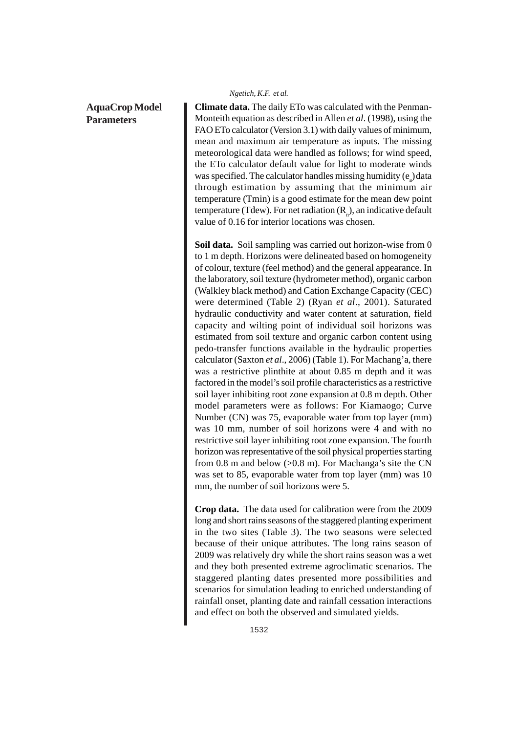# **AquaCrop Model Parameters**

### *Ngetich, K.F. et al.*

**Climate data.** The daily ETo was calculated with the Penman-Monteith equation as described in Allen *et al*. (1998), using the FAO ETo calculator (Version 3.1) with daily values of minimum, mean and maximum air temperature as inputs. The missing meteorological data were handled as follows; for wind speed, the ETo calculator default value for light to moderate winds was specified. The calculator handles missing humidity  $(e_a)$  data through estimation by assuming that the minimum air temperature (Tmin) is a good estimate for the mean dew point temperature (Tdew). For net radiation  $(R_n)$ , an indicative default value of 0.16 for interior locations was chosen.

**Soil data.** Soil sampling was carried out horizon-wise from 0 to 1 m depth. Horizons were delineated based on homogeneity of colour, texture (feel method) and the general appearance. In the laboratory, soil texture (hydrometer method), organic carbon (Walkley black method) and Cation Exchange Capacity (CEC) were determined (Table 2) (Ryan *et al*., 2001). Saturated hydraulic conductivity and water content at saturation, field capacity and wilting point of individual soil horizons was estimated from soil texture and organic carbon content using pedo-transfer functions available in the hydraulic properties calculator (Saxton *et al*., 2006) (Table 1). For Machang'a, there was a restrictive plinthite at about 0.85 m depth and it was factored in the model's soil profile characteristics as a restrictive soil layer inhibiting root zone expansion at 0.8 m depth. Other model parameters were as follows: For Kiamaogo; Curve Number (CN) was 75, evaporable water from top layer (mm) was 10 mm, number of soil horizons were 4 and with no restrictive soil layer inhibiting root zone expansion. The fourth horizon was representative of the soil physical properties starting from 0.8 m and below (>0.8 m). For Machanga's site the CN was set to 85, evaporable water from top layer (mm) was 10 mm, the number of soil horizons were 5.

**Crop data.** The data used for calibration were from the 2009 long and short rains seasons of the staggered planting experiment in the two sites (Table 3). The two seasons were selected because of their unique attributes. The long rains season of 2009 was relatively dry while the short rains season was a wet and they both presented extreme agroclimatic scenarios. The staggered planting dates presented more possibilities and scenarios for simulation leading to enriched understanding of rainfall onset, planting date and rainfall cessation interactions and effect on both the observed and simulated yields.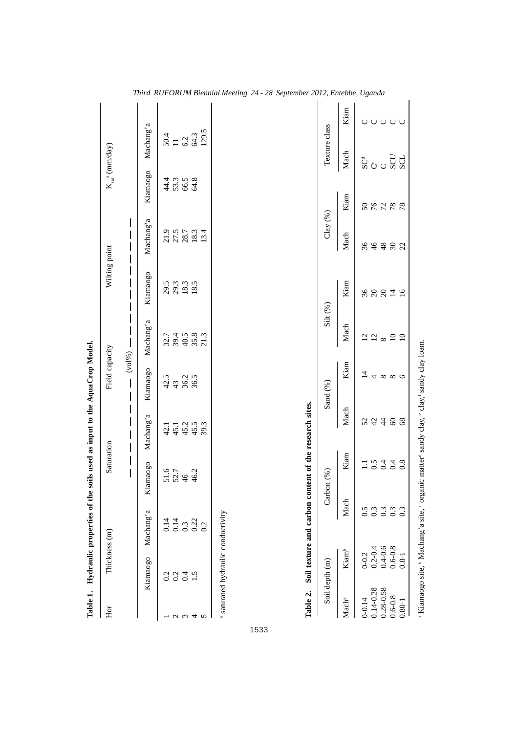| Table 1.          |                   | Hydraulic properties of the                              |                                      | soils used as input to the AquaCrop Model. |                               |                       |                                |                              |                           |                                                  |       |
|-------------------|-------------------|----------------------------------------------------------|--------------------------------------|--------------------------------------------|-------------------------------|-----------------------|--------------------------------|------------------------------|---------------------------|--------------------------------------------------|-------|
| $_{\rm Hor}$      |                   | Thickness (m)                                            | Saturation                           |                                            | Field capacity                |                       | Wilting point                  |                              |                           | $K_{sat}$ <sup>a</sup> (mm/day)                  |       |
|                   |                   |                                                          | $\bigg $<br>$\overline{\phantom{a}}$ | I                                          | $\overline{\phantom{a}}$<br>I | $(\text{vol}\%)$ —    | $\begin{array}{c} \end{array}$ | $\overline{\phantom{a}}$     |                           |                                                  |       |
|                   | Kiamaogo          | Machang'a                                                | Kiamaogo                             | Machang'a                                  | Kiamaogo                      | Machang'a             | Kiamaogo                       | Machang'a                    | Kiamaogo                  | Machang'a                                        |       |
|                   |                   |                                                          |                                      |                                            |                               |                       |                                |                              |                           |                                                  |       |
|                   |                   | $0.14$<br>0.14                                           |                                      |                                            |                               |                       |                                |                              |                           |                                                  |       |
| $\omega$ $\omega$ | 3345              | $0.\overline{3}$<br>$0.\overline{2}$<br>$0.\overline{2}$ | $51.7$<br>$52.7$<br>$46.2$           | $45.1$<br>$45.2$<br>$45.5$                 | $43.5$<br>$43.8.5$<br>$56.5$  |                       | 29.3.3.3<br>29.3.3.4           | 21.5<br>27.5<br>28.7<br>21.4 | $4988$<br>$4988$<br>$498$ |                                                  |       |
| 4                 |                   |                                                          |                                      |                                            |                               |                       |                                |                              |                           |                                                  |       |
| 5                 |                   |                                                          |                                      | 39.3                                       |                               |                       |                                |                              |                           | $\frac{50.4}{11}$<br>$\frac{6.2}{64.3}$<br>129.5 |       |
|                   | Soil depth (m)    |                                                          | Carbon $(\%)$                        |                                            | Sand (%)                      | $\mathrm{Silt}\,(\%)$ |                                | Clay $(\%$                   |                           | Texture class                                    |       |
| Machª             | Kiam <sup>b</sup> | Mach                                                     | Kiam                                 | Mach                                       | Kiam                          | Mach                  | Kiam                           | Mach                         | Kiam                      | Mach                                             | Kiam  |
| $0 - 0.14$        | $0 - 0.2$         | 0.5                                                      | $\Xi$                                |                                            | $\overline{4}$                |                       |                                | 36                           |                           |                                                  |       |
| $0.14 - 0.28$     | $0.2 - 0.4$       | 0.3                                                      |                                      |                                            |                               |                       |                                |                              |                           |                                                  |       |
| $0.28 - 0.58$     | $0.4 - 0.6$       | 0.3                                                      |                                      |                                            |                               |                       |                                |                              |                           |                                                  |       |
| $0.6 - 0.8$       | $0.6 - 0.8$       |                                                          |                                      |                                            |                               |                       |                                |                              |                           |                                                  |       |
| $0.80 - 1$        | $0.8 - 1$         | $0.\overline{3}$                                         | 0.348                                | 23488                                      | $4 \times 8 \times 6$         |                       | 88819                          | 4888                         | 88288                     | ន្ល៉ <sub>ប់</sub> ប្ល៊ីដ្ឋ                      | 00000 |

1533

a Kiamaogo site, <sup>b</sup> Machang'a site, < organic matter<sup>d</sup> sandy clay, elay, sandy clay loam. a Kiamaogo site, b Machang'a site, c organic matterd sandy clay, e clay,f sandy clay loam.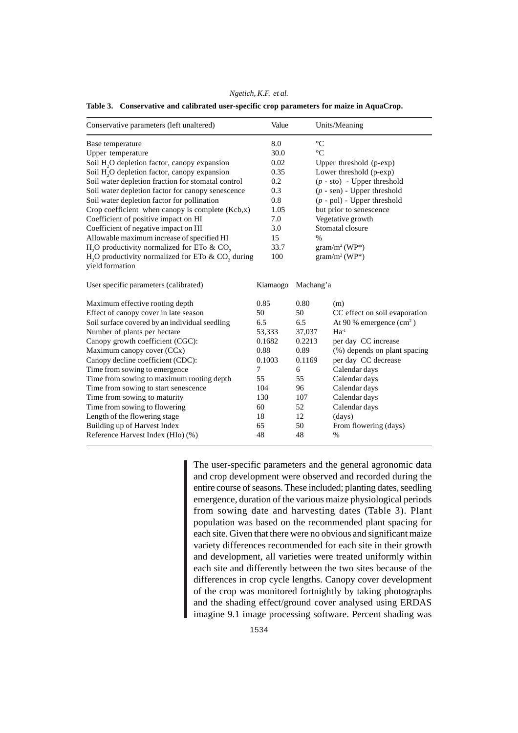*Ngetich, K.F. et al.*

**Table 3. Conservative and calibrated user-specific crop parameters for maize in AquaCrop.**

| Conservative parameters (left unaltered)                                                        | Value    |                               | Units/Meaning                 |  |
|-------------------------------------------------------------------------------------------------|----------|-------------------------------|-------------------------------|--|
| Base temperature                                                                                | 8.0      | $\rm ^{\circ}C$               |                               |  |
| Upper temperature                                                                               | 30.0     | $\rm ^{\circ}C$               |                               |  |
| Soil H <sub>2</sub> O depletion factor, canopy expansion                                        | 0.02     |                               | Upper threshold (p-exp)       |  |
| Soil H <sub>2</sub> O depletion factor, canopy expansion                                        | 0.35     |                               | Lower threshold (p-exp)       |  |
| Soil water depletion fraction for stomatal control                                              | 0.2      |                               | $(p - sto) - Upper threshold$ |  |
| Soil water depletion factor for canopy senescence                                               | 0.3      |                               | $(p - sen)$ - Upper threshold |  |
| Soil water depletion factor for pollination                                                     | 0.8      | $(p - pol)$ - Upper threshold |                               |  |
| Crop coefficient when canopy is complete (Kcb,x)                                                | 1.05     | but prior to senescence       |                               |  |
| Coefficient of positive impact on HI                                                            | 7.0      | Vegetative growth             |                               |  |
| Coefficient of negative impact on HI                                                            | 3.0      |                               | Stomatal closure              |  |
| Allowable maximum increase of specified HI                                                      | 15       | $\%$                          |                               |  |
| H <sub>2</sub> O productivity normalized for ETo $\&$ CO <sub>2</sub>                           | 33.7     | $gram/m^2(WP^*)$              |                               |  |
| H <sub>2</sub> O productivity normalized for ETo $\&$ CO <sub>2</sub> during<br>yield formation | 100      |                               | $gram/m^2 (WP^*)$             |  |
| User specific parameters (calibrated)                                                           | Kiamaogo | Machang'a                     |                               |  |
| Maximum effective rooting depth                                                                 | 0.85     | 0.80                          | (m)                           |  |
| Effect of canopy cover in late season                                                           | 50       | 50                            | CC effect on soil evaporation |  |
| Soil surface covered by an individual seedling                                                  | 6.5      | 6.5                           | At 90 % emergence $(cm2)$     |  |
| Number of plants per hectare                                                                    | 53,333   | 37,037                        | $Ha^{-1}$                     |  |
| Canopy growth coefficient (CGC):                                                                | 0.1682   | 0.2213                        | per day CC increase           |  |
| Maximum canopy cover (CCx)                                                                      | 0.88     | 0.89                          | (%) depends on plant spacing  |  |
| Canopy decline coefficient (CDC):                                                               | 0.1003   | 0.1169                        | per day CC decrease           |  |
| Time from sowing to emergence                                                                   | 7        | 6                             | Calendar days                 |  |
| Time from sowing to maximum rooting depth                                                       | 55       | 55                            | Calendar days                 |  |
| Time from sowing to start senescence                                                            | 104      | 96                            | Calendar days                 |  |
| Time from sowing to maturity                                                                    | 130      | 107                           | Calendar days                 |  |
| Time from sowing to flowering                                                                   | 60       | 52                            | Calendar days                 |  |
| Length of the flowering stage                                                                   | 18       | 12                            | (days)                        |  |
| Building up of Harvest Index                                                                    | 65       | 50                            | From flowering (days)         |  |
| Reference Harvest Index (HIo) (%)                                                               | 48       | 48                            | %                             |  |

The user-specific parameters and the general agronomic data and crop development were observed and recorded during the entire course of seasons. These included; planting dates, seedling emergence, duration of the various maize physiological periods from sowing date and harvesting dates (Table 3). Plant population was based on the recommended plant spacing for each site. Given that there were no obvious and significant maize variety differences recommended for each site in their growth and development, all varieties were treated uniformly within each site and differently between the two sites because of the differences in crop cycle lengths. Canopy cover development of the crop was monitored fortnightly by taking photographs and the shading effect/ground cover analysed using ERDAS imagine 9.1 image processing software. Percent shading was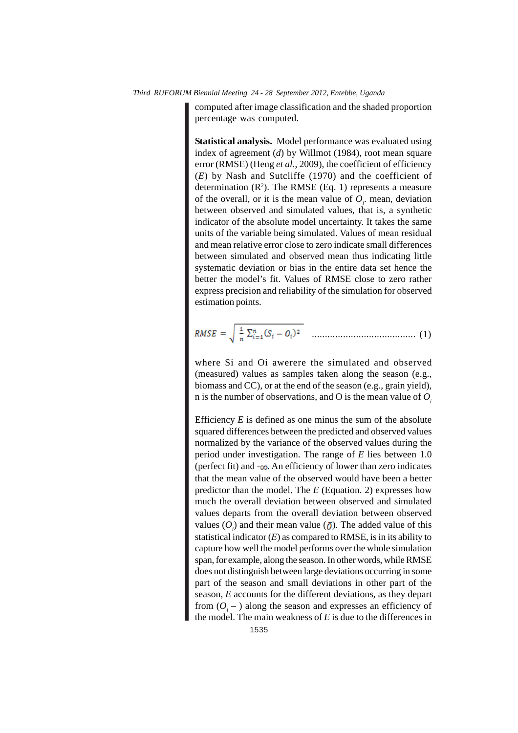computed after image classification and the shaded proportion percentage was computed.

**Statistical analysis.** Model performance was evaluated using index of agreement (*d*) by Willmot (1984), root mean square error (RMSE) (Heng *et al*., 2009), the coefficient of efficiency (*E*) by Nash and Sutcliffe (1970) and the coefficient of determination  $(R^2)$ . The RMSE (Eq. 1) represents a measure of the overall, or it is the mean value of  $O_i$  mean, deviation between observed and simulated values, that is, a synthetic indicator of the absolute model uncertainty. It takes the same units of the variable being simulated. Values of mean residual and mean relative error close to zero indicate small differences between simulated and observed mean thus indicating little systematic deviation or bias in the entire data set hence the better the model's fit. Values of RMSE close to zero rather express precision and reliability of the simulation for observed estimation points.

$$
RMSE = \sqrt{\frac{1}{n} \sum_{i=1}^{n} (S_i - O_i)^2}
$$
 ....... (1)

where Si and Oi awerere the simulated and observed (measured) values as samples taken along the season (e.g., biomass and CC), or at the end of the season (e.g., grain yield), n is the number of observations, and O is the mean value of *Oi*

Efficiency  $E$  is defined as one minus the sum of the absolute squared differences between the predicted and observed values normalized by the variance of the observed values during the period under investigation. The range of *E* lies between 1.0 (perfect fit) and  $-\infty$ . An efficiency of lower than zero indicates that the mean value of the observed would have been a better predictor than the model. The *E* (Equation. 2) expresses how much the overall deviation between observed and simulated values departs from the overall deviation between observed values  $(O_i)$  and their mean value  $(\bar{O})$ . The added value of this statistical indicator  $(E)$  as compared to RMSE, is in its ability to capture how well the model performs over the whole simulation span, for example, along the season. In other words, while RMSE does not distinguish between large deviations occurring in some part of the season and small deviations in other part of the season, *E* accounts for the different deviations, as they depart from  $(O_i - )$  along the season and expresses an efficiency of the model. The main weakness of *E* is due to the differences in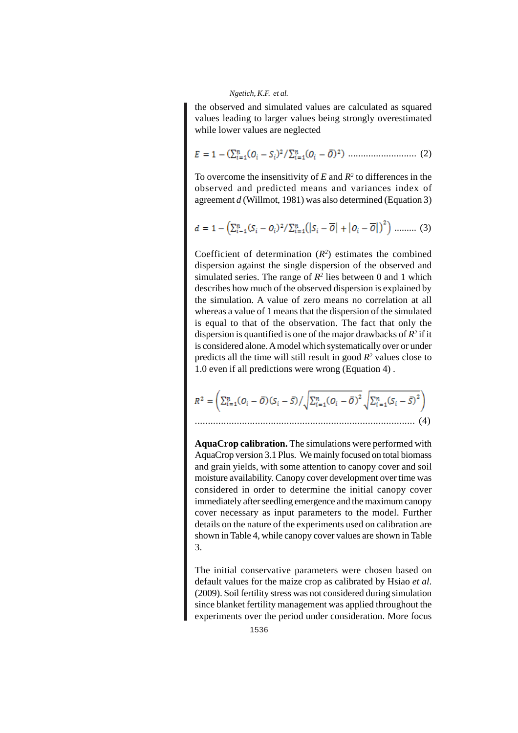the observed and simulated values are calculated as squared values leading to larger values being strongly overestimated while lower values are neglected

........................... (2)

To overcome the insensitivity of  $E$  and  $R^2$  to differences in the observed and predicted means and variances index of agreement *d* (Willmot, 1981) was also determined (Equation 3)

$$
d = 1 - \left(\sum_{i=1}^{n} (S_i - O_i)^2 / \sum_{i=1}^{n} (|S_i - \overline{O}| + |O_i - \overline{O}|)^2\right) \dots \dots \dots \tag{3}
$$

Coefficient of determination  $(R^2)$  estimates the combined dispersion against the single dispersion of the observed and simulated series. The range of  $R^2$  lies between 0 and 1 which describes how much of the observed dispersion is explained by the simulation. A value of zero means no correlation at all whereas a value of 1 means that the dispersion of the simulated is equal to that of the observation. The fact that only the dispersion is quantified is one of the major drawbacks of  $R^2$  if it is considered alone. A model which systematically over or under predicts all the time will still result in good  $R<sup>2</sup>$  values close to 1.0 even if all predictions were wrong (Equation 4) .

$$
R^{2} = \left(\sum_{i=1}^{n} (\mathbf{O}_{i} - \overline{\mathbf{O}}) (\mathbf{S}_{i} - \overline{\mathbf{S}}) / \sqrt{\sum_{i=1}^{n} (\mathbf{O}_{i} - \overline{\mathbf{O}})^{2}} \sqrt{\sum_{i=1}^{n} (\mathbf{S}_{i} - \overline{\mathbf{S}})^{2}}\right)
$$
\n
$$
\tag{4}
$$

**AquaCrop calibration.** The simulations were performed with AquaCrop version 3.1 Plus. We mainly focused on total biomass and grain yields, with some attention to canopy cover and soil moisture availability. Canopy cover development over time was considered in order to determine the initial canopy cover immediately after seedling emergence and the maximum canopy cover necessary as input parameters to the model. Further details on the nature of the experiments used on calibration are shown in Table 4, while canopy cover values are shown in Table 3.

The initial conservative parameters were chosen based on default values for the maize crop as calibrated by Hsiao *et al*. (2009). Soil fertility stress was not considered during simulation since blanket fertility management was applied throughout the experiments over the period under consideration. More focus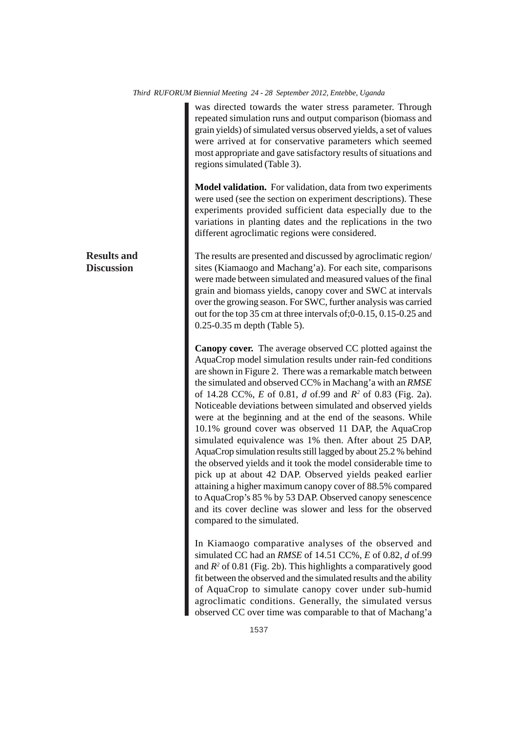was directed towards the water stress parameter. Through repeated simulation runs and output comparison (biomass and grain yields) of simulated versus observed yields, a set of values were arrived at for conservative parameters which seemed most appropriate and gave satisfactory results of situations and regions simulated (Table 3).

**Model validation.** For validation, data from two experiments were used (see the section on experiment descriptions). These experiments provided sufficient data especially due to the variations in planting dates and the replications in the two different agroclimatic regions were considered.

The results are presented and discussed by agroclimatic region/ sites (Kiamaogo and Machang'a). For each site, comparisons were made between simulated and measured values of the final grain and biomass yields, canopy cover and SWC at intervals over the growing season. For SWC, further analysis was carried out for the top 35 cm at three intervals of;0-0.15, 0.15-0.25 and 0.25-0.35 m depth (Table 5).

**Canopy cover.** The average observed CC plotted against the AquaCrop model simulation results under rain-fed conditions are shown in Figure 2. There was a remarkable match between the simulated and observed CC% in Machang'a with an *RMSE* of 14.28 CC%, *E* of 0.81, *d* of.99 and *R2* of 0.83 (Fig. 2a). Noticeable deviations between simulated and observed yields were at the beginning and at the end of the seasons. While 10.1% ground cover was observed 11 DAP, the AquaCrop simulated equivalence was 1% then. After about 25 DAP, AquaCrop simulation results still lagged by about 25.2 % behind the observed yields and it took the model considerable time to pick up at about 42 DAP. Observed yields peaked earlier attaining a higher maximum canopy cover of 88.5% compared to AquaCrop's 85 % by 53 DAP. Observed canopy senescence and its cover decline was slower and less for the observed compared to the simulated.

In Kiamaogo comparative analyses of the observed and simulated CC had an *RMSE* of 14.51 CC%, *E* of 0.82, *d* of.99 and *R2* of 0.81 (Fig. 2b). This highlights a comparatively good fit between the observed and the simulated results and the ability of AquaCrop to simulate canopy cover under sub-humid agroclimatic conditions. Generally, the simulated versus observed CC over time was comparable to that of Machang'a

# **Results and Discussion**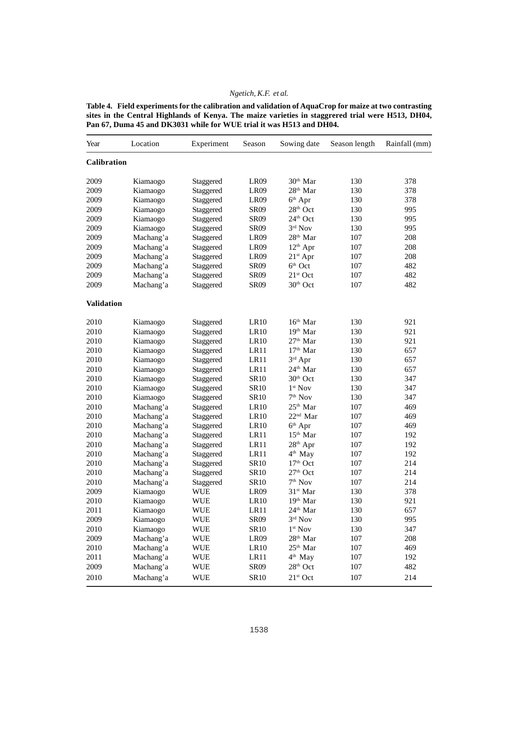**Table 4. Field experiments for the calibration and validation of AquaCrop for maize at two contrasting sites in the Central Highlands of Kenya. The maize varieties in staggrered trial were H513, DH04, Pan 67, Duma 45 and DK3031 while for WUE trial it was H513 and DH04.**

| Year               | Location  | Experiment | Season           | Sowing date          | Season length | Rainfall (mm) |
|--------------------|-----------|------------|------------------|----------------------|---------------|---------------|
| <b>Calibration</b> |           |            |                  |                      |               |               |
| 2009               | Kiamaogo  | Staggered  | LR <sub>09</sub> | 30 <sup>th</sup> Mar | 130           | 378           |
| 2009               | Kiamaogo  | Staggered  | LR <sub>09</sub> | 28 <sup>th</sup> Mar | 130           | 378           |
| 2009               | Kiamaogo  | Staggered  | LR <sub>09</sub> | $6th$ Apr            | 130           | 378           |
| 2009               | Kiamaogo  | Staggered  | <b>SR09</b>      | 28 <sup>th</sup> Oct | 130           | 995           |
| 2009               | Kiamaogo  | Staggered  | <b>SR09</b>      | 24 <sup>th</sup> Oct | 130           | 995           |
| 2009               | Kiamaogo  | Staggered  | <b>SR09</b>      | $3rd$ Nov            | 130           | 995           |
| 2009               | Machang'a | Staggered  | LR09             | 28 <sup>th</sup> Mar | 107           | 208           |
| 2009               | Machang'a | Staggered  | LR <sub>09</sub> | $12th$ Apr           | 107           | 208           |
| 2009               | Machang'a | Staggered  | LR <sub>09</sub> | $21st$ Apr           | 107           | 208           |
| 2009               | Machang'a | Staggered  | <b>SR09</b>      | $6th$ Oct            | 107           | 482           |
| 2009               | Machang'a | Staggered  | <b>SR09</b>      | $21st$ Oct           | 107           | 482           |
| 2009               | Machang'a | Staggered  | <b>SR09</b>      | 30 <sup>th</sup> Oct | 107           | 482           |
| <b>Validation</b>  |           |            |                  |                      |               |               |
| 2010               | Kiamaogo  | Staggered  | LR <sub>10</sub> | $16th$ Mar           | 130           | 921           |
| 2010               | Kiamaogo  | Staggered  | LR <sub>10</sub> | 19 <sup>th</sup> Mar | 130           | 921           |
| 2010               | Kiamaogo  | Staggered  | LR10             | $27th$ Mar           | 130           | 921           |
| 2010               | Kiamaogo  | Staggered  | LR11             | $17th$ Mar           | 130           | 657           |
| 2010               | Kiamaogo  | Staggered  | LR11             | 3rd Apr              | 130           | 657           |
| 2010               | Kiamaogo  | Staggered  | LR11             | 24 <sup>th</sup> Mar | 130           | 657           |
| 2010               | Kiamaogo  | Staggered  | <b>SR10</b>      | 30 <sup>th</sup> Oct | 130           | 347           |
| 2010               | Kiamaogo  | Staggered  | <b>SR10</b>      | 1 <sup>st</sup> Nov  | 130           | 347           |
| 2010               | Kiamaogo  | Staggered  | <b>SR10</b>      | $7th$ Nov            | 130           | 347           |
| 2010               | Machang'a | Staggered  | LR <sub>10</sub> | $25th$ Mar           | 107           | 469           |
| 2010               | Machang'a | Staggered  | LR <sub>10</sub> | $22nd$ Mar           | 107           | 469           |
| 2010               | Machang'a | Staggered  | <b>LR10</b>      | $6th$ Apr            | 107           | 469           |
| 2010               | Machang'a | Staggered  | LR11             | $15th$ Mar           | 107           | 192           |
| 2010               | Machang'a | Staggered  | LR11             | 28 <sup>th</sup> Apr | 107           | 192           |
| 2010               | Machang'a | Staggered  | LR11             | 4 <sup>th</sup> May  | 107           | 192           |
| 2010               | Machang'a | Staggered  | <b>SR10</b>      | 17 <sup>th</sup> Oct | 107           | 214           |
| 2010               | Machang'a | Staggered  | <b>SR10</b>      | $27th$ Oct           | 107           | 214           |
| 2010               | Machang'a | Staggered  | SR10             | $7th$ Nov            | 107           | 214           |
| 2009               | Kiamaogo  | WUE        | LR <sub>09</sub> | 31 <sup>st</sup> Mar | 130           | 378           |
| 2010               | Kiamaogo  | <b>WUE</b> | <b>LR10</b>      | 19 <sup>th</sup> Mar | 130           | 921           |
| 2011               | Kiamaogo  | WUE        | LR11             | 24 <sup>th</sup> Mar | 130           | 657           |
| 2009               | Kiamaogo  | WUE        | <b>SR09</b>      | $3^{\text{rd}}$ Nov  | 130           | 995           |
| 2010               | Kiamaogo  | <b>WUE</b> | <b>SR10</b>      | $1st$ Nov            | 130           | 347           |
| 2009               | Machang'a | <b>WUE</b> | LR09             | 28 <sup>th</sup> Mar | 107           | 208           |
| 2010               | Machang'a | WUE        | LR10             | 25 <sup>th</sup> Mar | 107           | 469           |
| 2011               | Machang'a | <b>WUE</b> | LR11             | 4 <sup>th</sup> May  | 107           | 192           |
| 2009               | Machang'a | WUE        | <b>SR09</b>      | 28 <sup>th</sup> Oct | 107           | 482           |
| 2010               | Machang'a | <b>WUE</b> | <b>SR10</b>      | $21st$ Oct           | 107           | 214           |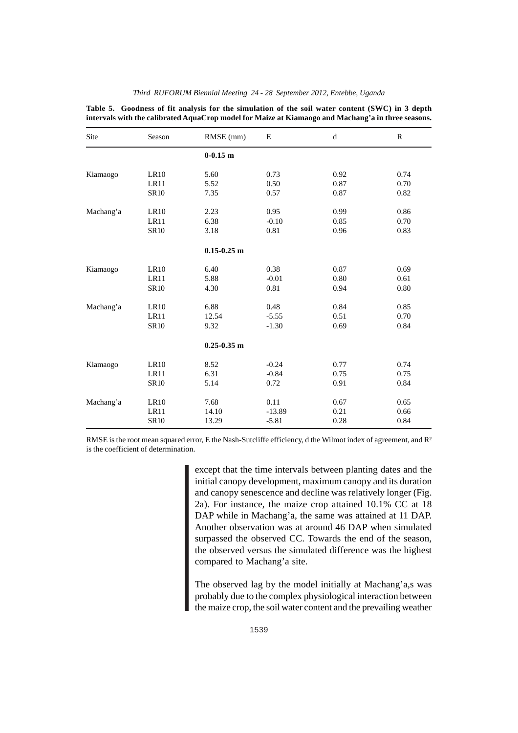|           |             | intervals with the calibrated AquaCrop model for Maize at Kiamaogo and Machang'a in three seasons. |          |             |              |
|-----------|-------------|----------------------------------------------------------------------------------------------------|----------|-------------|--------------|
| Site      | Season      | RMSE (mm)                                                                                          | E        | $\mathbf d$ | $\mathbb{R}$ |
|           |             | $0-0.15$ m                                                                                         |          |             |              |
| Kiamaogo  | <b>LR10</b> | 5.60                                                                                               | 0.73     | 0.92        | 0.74         |
|           | LR11        | 5.52                                                                                               | 0.50     | 0.87        | 0.70         |
|           | <b>SR10</b> | 7.35                                                                                               | 0.57     | 0.87        | 0.82         |
| Machang'a | LR10        | 2.23                                                                                               | 0.95     | 0.99        | 0.86         |
|           | LR11        | 6.38                                                                                               | $-0.10$  | 0.85        | 0.70         |
|           | <b>SR10</b> | 3.18                                                                                               | 0.81     | 0.96        | 0.83         |
|           |             | $0.15 - 0.25$ m                                                                                    |          |             |              |
| Kiamaogo  | <b>LR10</b> | 6.40                                                                                               | 0.38     | 0.87        | 0.69         |
|           | LR11        | 5.88                                                                                               | $-0.01$  | 0.80        | 0.61         |
|           | <b>SR10</b> | 4.30                                                                                               | 0.81     | 0.94        | 0.80         |
| Machang'a | LR10        | 6.88                                                                                               | 0.48     | 0.84        | 0.85         |
|           | LR11        | 12.54                                                                                              | $-5.55$  | 0.51        | 0.70         |
|           | <b>SR10</b> | 9.32                                                                                               | $-1.30$  | 0.69        | 0.84         |
|           |             | $0.25 - 0.35$ m                                                                                    |          |             |              |
| Kiamaogo  | LR10        | 8.52                                                                                               | $-0.24$  | 0.77        | 0.74         |
|           | LR11        | 6.31                                                                                               | $-0.84$  | 0.75        | 0.75         |
|           | <b>SR10</b> | 5.14                                                                                               | 0.72     | 0.91        | 0.84         |
| Machang'a | <b>LR10</b> | 7.68                                                                                               | 0.11     | 0.67        | 0.65         |
|           | LR11        | 14.10                                                                                              | $-13.89$ | 0.21        | 0.66         |
|           | <b>SR10</b> | 13.29                                                                                              | $-5.81$  | 0.28        | 0.84         |

*Third RUFORUM Biennial Meeting 24 - 28 September 2012, Entebbe, Uganda* **Table 5. Goodness of fit analysis for the simulation of the soil water content (SWC) in 3 depth**

except that the time intervals between planting dates and the initial canopy development, maximum canopy and its duration and canopy senescence and decline was relatively longer (Fig. 2a). For instance, the maize crop attained 10.1% CC at 18 DAP while in Machang'a, the same was attained at 11 DAP. Another observation was at around 46 DAP when simulated surpassed the observed CC. Towards the end of the season, the observed versus the simulated difference was the highest compared to Machang'a site.

The observed lag by the model initially at Machang'a,s was probably due to the complex physiological interaction between the maize crop, the soil water content and the prevailing weather

RMSE is the root mean squared error, E the Nash-Sutcliffe efficiency, d the Wilmot index of agreement, and R<sup>2</sup> is the coefficient of determination.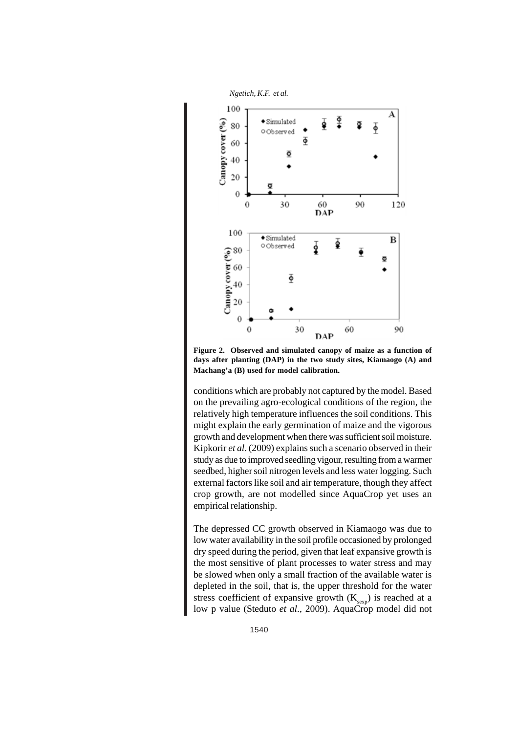

**Figure 2. Observed and simulated canopy of maize as a function of days after planting (DAP) in the two study sites, Kiamaogo (A) and Machang'a (B) used for model calibration.**

conditions which are probably not captured by the model. Based on the prevailing agro-ecological conditions of the region, the relatively high temperature influences the soil conditions. This might explain the early germination of maize and the vigorous growth and development when there was sufficient soil moisture. Kipkorir *et al*. (2009) explains such a scenario observed in their study as due to improved seedling vigour, resulting from a warmer seedbed, higher soil nitrogen levels and less water logging. Such external factors like soil and air temperature, though they affect crop growth, are not modelled since AquaCrop yet uses an empirical relationship.

The depressed CC growth observed in Kiamaogo was due to low water availability in the soil profile occasioned by prolonged dry speed during the period, given that leaf expansive growth is the most sensitive of plant processes to water stress and may be slowed when only a small fraction of the available water is depleted in the soil, that is, the upper threshold for the water stress coefficient of expansive growth  $(K_{\text{sexp}})$  is reached at a low p value (Steduto *et al*., 2009). AquaCrop model did not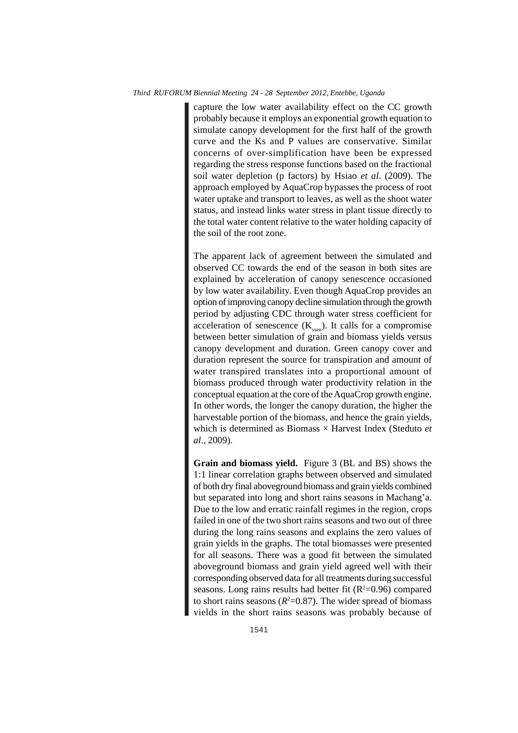capture the low water availability effect on the CC growth probably because it employs an exponential growth equation to simulate canopy development for the first half of the growth curve and the Ks and P values are conservative. Similar concerns of over-simplification have been be expressed regarding the stress response functions based on the fractional soil water depletion (p factors) by Hsiao *et al*. (2009). The approach employed by AquaCrop bypasses the process of root water uptake and transport to leaves, as well as the shoot water status, and instead links water stress in plant tissue directly to the total water content relative to the water holding capacity of the soil of the root zone.

The apparent lack of agreement between the simulated and observed CC towards the end of the season in both sites are explained by acceleration of canopy senescence occasioned by low water availability. Even though AquaCrop provides an option of improving canopy decline simulation through the growth period by adjusting CDC through water stress coefficient for acceleration of senescence  $(K_{\text{seen}})$ . It calls for a compromise between better simulation of grain and biomass yields versus canopy development and duration. Green canopy cover and duration represent the source for transpiration and amount of water transpired translates into a proportional amount of biomass produced through water productivity relation in the conceptual equation at the core of the AquaCrop growth engine. In other words, the longer the canopy duration, the higher the harvestable portion of the biomass, and hence the grain yields, which is determined as Biomass × Harvest Index (Steduto *et al*., 2009).

**Grain and biomass yield.** Figure 3 (BL and BS) shows the 1:1 linear correlation graphs between observed and simulated of both dry final aboveground biomass and grain yields combined but separated into long and short rains seasons in Machang'a. Due to the low and erratic rainfall regimes in the region, crops failed in one of the two short rains seasons and two out of three during the long rains seasons and explains the zero values of grain yields in the graphs. The total biomasses were presented for all seasons. There was a good fit between the simulated aboveground biomass and grain yield agreed well with their corresponding observed data for all treatments during successful seasons. Long rains results had better fit  $(R^2=0.96)$  compared to short rains seasons  $(R<sup>2</sup>=0.87)$ . The wider spread of biomass yields in the short rains seasons was probably because of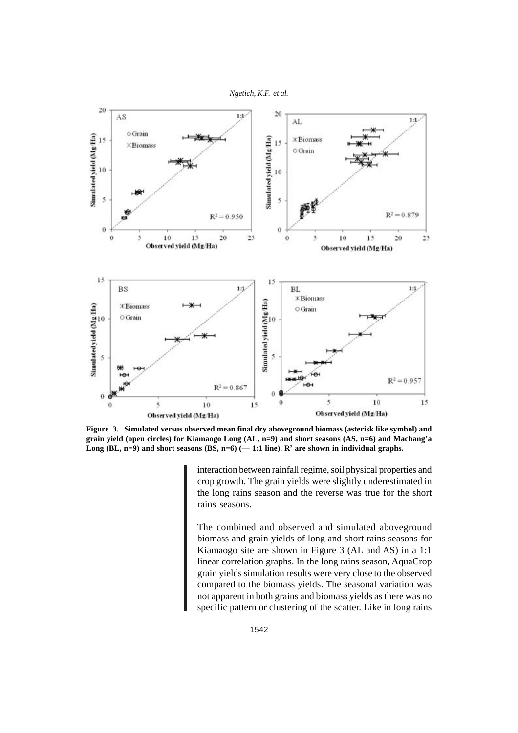



**Figure 3. Simulated versus observed mean final dry aboveground biomass (asterisk like symbol) and grain yield (open circles) for Kiamaogo Long (AL, n=9) and short seasons (AS, n=6) and Machang'a** Long  $(BL, n=9)$  and short seasons  $(BS, n=6)$  (-1:1 line).  $\mathbb{R}^2$  are shown in individual graphs.

interaction between rainfall regime, soil physical properties and crop growth. The grain yields were slightly underestimated in the long rains season and the reverse was true for the short rains seasons.

The combined and observed and simulated aboveground biomass and grain yields of long and short rains seasons for Kiamaogo site are shown in Figure 3 (AL and AS) in a 1:1 linear correlation graphs. In the long rains season, AquaCrop grain yields simulation results were very close to the observed compared to the biomass yields. The seasonal variation was not apparent in both grains and biomass yields as there was no specific pattern or clustering of the scatter. Like in long rains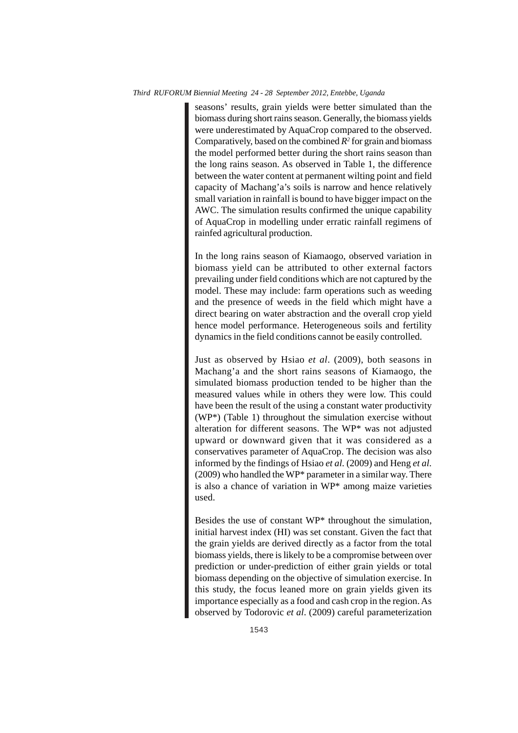seasons' results, grain yields were better simulated than the biomass during short rains season. Generally, the biomass yields were underestimated by AquaCrop compared to the observed. Comparatively, based on the combined  $R^2$  for grain and biomass the model performed better during the short rains season than the long rains season. As observed in Table 1, the difference between the water content at permanent wilting point and field capacity of Machang'a's soils is narrow and hence relatively small variation in rainfall is bound to have bigger impact on the AWC. The simulation results confirmed the unique capability of AquaCrop in modelling under erratic rainfall regimens of rainfed agricultural production.

In the long rains season of Kiamaogo, observed variation in biomass yield can be attributed to other external factors prevailing under field conditions which are not captured by the model. These may include: farm operations such as weeding and the presence of weeds in the field which might have a direct bearing on water abstraction and the overall crop yield hence model performance. Heterogeneous soils and fertility dynamics in the field conditions cannot be easily controlled.

Just as observed by Hsiao *et al*. (2009), both seasons in Machang'a and the short rains seasons of Kiamaogo, the simulated biomass production tended to be higher than the measured values while in others they were low. This could have been the result of the using a constant water productivity (WP\*) (Table 1) throughout the simulation exercise without alteration for different seasons. The WP\* was not adjusted upward or downward given that it was considered as a conservatives parameter of AquaCrop. The decision was also informed by the findings of Hsiao *et al*. (2009) and Heng *et al*. (2009) who handled the WP\* parameter in a similar way. There is also a chance of variation in WP\* among maize varieties used.

Besides the use of constant WP\* throughout the simulation, initial harvest index (HI) was set constant. Given the fact that the grain yields are derived directly as a factor from the total biomass yields, there is likely to be a compromise between over prediction or under-prediction of either grain yields or total biomass depending on the objective of simulation exercise. In this study, the focus leaned more on grain yields given its importance especially as a food and cash crop in the region. As observed by Todorovic *et al*. (2009) careful parameterization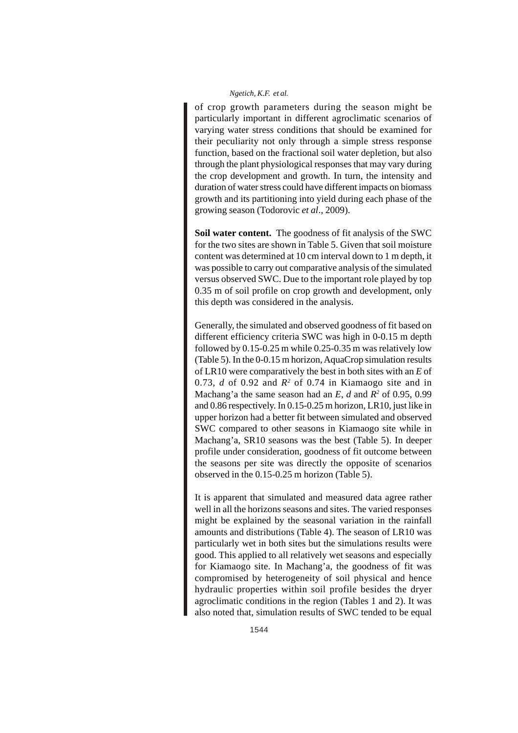of crop growth parameters during the season might be particularly important in different agroclimatic scenarios of varying water stress conditions that should be examined for their peculiarity not only through a simple stress response function, based on the fractional soil water depletion, but also through the plant physiological responses that may vary during the crop development and growth. In turn, the intensity and duration of water stress could have different impacts on biomass growth and its partitioning into yield during each phase of the growing season (Todorovic *et al*., 2009).

**Soil water content.** The goodness of fit analysis of the SWC for the two sites are shown in Table 5. Given that soil moisture content was determined at 10 cm interval down to 1 m depth, it was possible to carry out comparative analysis of the simulated versus observed SWC. Due to the important role played by top 0.35 m of soil profile on crop growth and development, only this depth was considered in the analysis.

Generally, the simulated and observed goodness of fit based on different efficiency criteria SWC was high in 0-0.15 m depth followed by 0.15-0.25 m while 0.25-0.35 m was relatively low (Table 5). In the 0-0.15 m horizon, AquaCrop simulation results of LR10 were comparatively the best in both sites with an *E* of 0.73,  $d$  of 0.92 and  $R^2$  of 0.74 in Kiamaogo site and in Machang'a the same season had an *E*, *d* and *R2* of 0.95, 0.99 and 0.86 respectively. In 0.15-0.25 m horizon, LR10, just like in upper horizon had a better fit between simulated and observed SWC compared to other seasons in Kiamaogo site while in Machang'a, SR10 seasons was the best (Table 5). In deeper profile under consideration, goodness of fit outcome between the seasons per site was directly the opposite of scenarios observed in the 0.15-0.25 m horizon (Table 5).

It is apparent that simulated and measured data agree rather well in all the horizons seasons and sites. The varied responses might be explained by the seasonal variation in the rainfall amounts and distributions (Table 4). The season of LR10 was particularly wet in both sites but the simulations results were good. This applied to all relatively wet seasons and especially for Kiamaogo site. In Machang'a, the goodness of fit was compromised by heterogeneity of soil physical and hence hydraulic properties within soil profile besides the dryer agroclimatic conditions in the region (Tables 1 and 2). It was also noted that, simulation results of SWC tended to be equal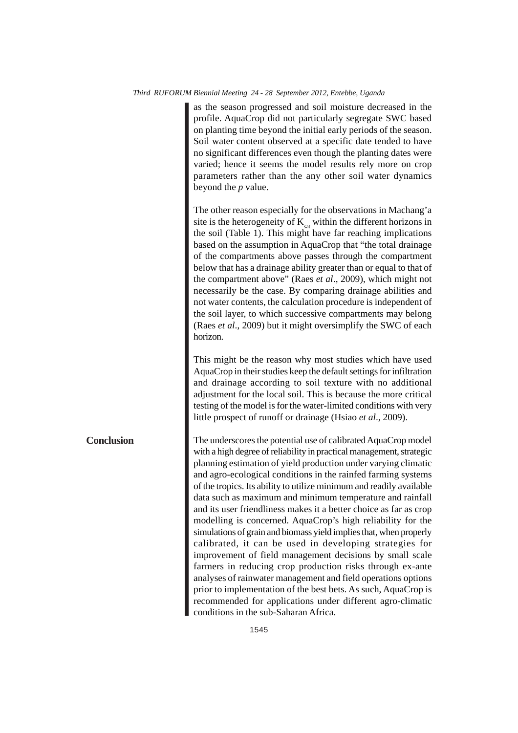horizon.

**Conclusion**

as the season progressed and soil moisture decreased in the profile. AquaCrop did not particularly segregate SWC based on planting time beyond the initial early periods of the season. Soil water content observed at a specific date tended to have no significant differences even though the planting dates were varied; hence it seems the model results rely more on crop parameters rather than the any other soil water dynamics beyond the *p* value. The other reason especially for the observations in Machang'a site is the heterogeneity of  $K_{\text{sat}}$  within the different horizons in the soil (Table 1). This might have far reaching implications based on the assumption in AquaCrop that "the total drainage of the compartments above passes through the compartment below that has a drainage ability greater than or equal to that of the compartment above" (Raes *et al*., 2009), which might not necessarily be the case. By comparing drainage abilities and not water contents, the calculation procedure is independent of the soil layer, to which successive compartments may belong (Raes *et al*., 2009) but it might oversimplify the SWC of each

This might be the reason why most studies which have used AquaCrop in their studies keep the default settings for infiltration and drainage according to soil texture with no additional adjustment for the local soil. This is because the more critical testing of the model is for the water-limited conditions with very little prospect of runoff or drainage (Hsiao *et al*., 2009).

The underscores the potential use of calibrated AquaCrop model with a high degree of reliability in practical management, strategic planning estimation of yield production under varying climatic and agro-ecological conditions in the rainfed farming systems of the tropics. Its ability to utilize minimum and readily available data such as maximum and minimum temperature and rainfall and its user friendliness makes it a better choice as far as crop modelling is concerned. AquaCrop's high reliability for the simulations of grain and biomass yield implies that, when properly calibrated, it can be used in developing strategies for improvement of field management decisions by small scale farmers in reducing crop production risks through ex-ante analyses of rainwater management and field operations options prior to implementation of the best bets. As such, AquaCrop is recommended for applications under different agro-climatic conditions in the sub-Saharan Africa.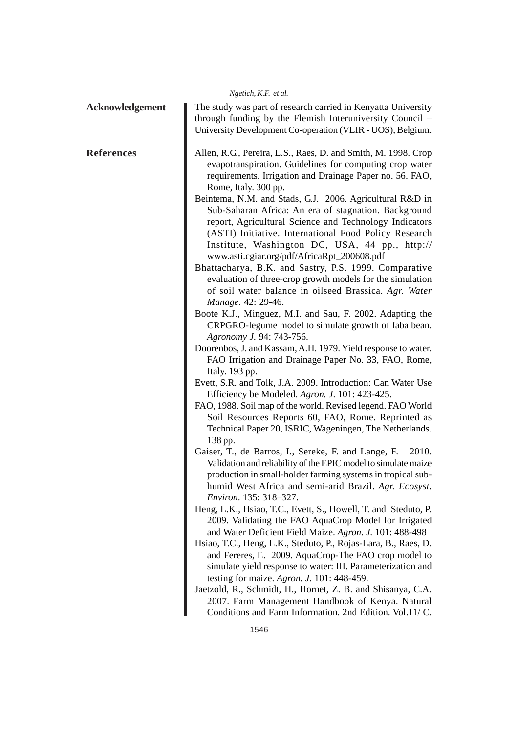|                        | Ngetich, K.F. et al.                                                                                                                                                                                                                                                                                                                                                                                                                                                                                                                                                                                                                                                                                                                                                                                                                                                                                                                                                                                                                                                                                                                                                                                                                                                                                                                                                                                                                                                                                                                                                                                                                                                                                                                                                                                                                                                                                                                                                                                                                                                                                                                                                                                                                                              |
|------------------------|-------------------------------------------------------------------------------------------------------------------------------------------------------------------------------------------------------------------------------------------------------------------------------------------------------------------------------------------------------------------------------------------------------------------------------------------------------------------------------------------------------------------------------------------------------------------------------------------------------------------------------------------------------------------------------------------------------------------------------------------------------------------------------------------------------------------------------------------------------------------------------------------------------------------------------------------------------------------------------------------------------------------------------------------------------------------------------------------------------------------------------------------------------------------------------------------------------------------------------------------------------------------------------------------------------------------------------------------------------------------------------------------------------------------------------------------------------------------------------------------------------------------------------------------------------------------------------------------------------------------------------------------------------------------------------------------------------------------------------------------------------------------------------------------------------------------------------------------------------------------------------------------------------------------------------------------------------------------------------------------------------------------------------------------------------------------------------------------------------------------------------------------------------------------------------------------------------------------------------------------------------------------|
| <b>Acknowledgement</b> | The study was part of research carried in Kenyatta University<br>through funding by the Flemish Interuniversity Council -<br>University Development Co-operation (VLIR - UOS), Belgium.                                                                                                                                                                                                                                                                                                                                                                                                                                                                                                                                                                                                                                                                                                                                                                                                                                                                                                                                                                                                                                                                                                                                                                                                                                                                                                                                                                                                                                                                                                                                                                                                                                                                                                                                                                                                                                                                                                                                                                                                                                                                           |
| <b>References</b>      | Allen, R.G., Pereira, L.S., Raes, D. and Smith, M. 1998. Crop<br>evapotranspiration. Guidelines for computing crop water<br>requirements. Irrigation and Drainage Paper no. 56. FAO,<br>Rome, Italy. 300 pp.<br>Beintema, N.M. and Stads, G.J. 2006. Agricultural R&D in<br>Sub-Saharan Africa: An era of stagnation. Background<br>report, Agricultural Science and Technology Indicators<br>(ASTI) Initiative. International Food Policy Research<br>Institute, Washington DC, USA, 44 pp., http://<br>www.asti.cgiar.org/pdf/AfricaRpt_200608.pdf<br>Bhattacharya, B.K. and Sastry, P.S. 1999. Comparative<br>evaluation of three-crop growth models for the simulation<br>of soil water balance in oilseed Brassica. Agr. Water<br>Manage. 42: 29-46.<br>Boote K.J., Minguez, M.I. and Sau, F. 2002. Adapting the<br>CRPGRO-legume model to simulate growth of faba bean.<br>Agronomy J. 94: 743-756.<br>Doorenbos, J. and Kassam, A.H. 1979. Yield response to water.<br>FAO Irrigation and Drainage Paper No. 33, FAO, Rome,<br>Italy. 193 pp.<br>Evett, S.R. and Tolk, J.A. 2009. Introduction: Can Water Use<br>Efficiency be Modeled. Agron. J. 101: 423-425.<br>FAO, 1988. Soil map of the world. Revised legend. FAO World<br>Soil Resources Reports 60, FAO, Rome. Reprinted as<br>Technical Paper 20, ISRIC, Wageningen, The Netherlands.<br>138 pp.<br>Gaiser, T., de Barros, I., Sereke, F. and Lange, F.<br>2010.<br>Validation and reliability of the EPIC model to simulate maize<br>production in small-holder farming systems in tropical sub-<br>humid West Africa and semi-arid Brazil. Agr. Ecosyst.<br>Environ. 135: 318–327.<br>Heng, L.K., Hsiao, T.C., Evett, S., Howell, T. and Steduto, P.<br>2009. Validating the FAO AquaCrop Model for Irrigated<br>and Water Deficient Field Maize. Agron. J. 101: 488-498<br>Hsiao, T.C., Heng, L.K., Steduto, P., Rojas-Lara, B., Raes, D.<br>and Fereres, E. 2009. AquaCrop-The FAO crop model to<br>simulate yield response to water: III. Parameterization and<br>testing for maize. Agron. J. 101: 448-459.<br>Jaetzold, R., Schmidt, H., Hornet, Z. B. and Shisanya, C.A.<br>2007. Farm Management Handbook of Kenya. Natural<br>Conditions and Farm Information. 2nd Edition. Vol.11/ C. |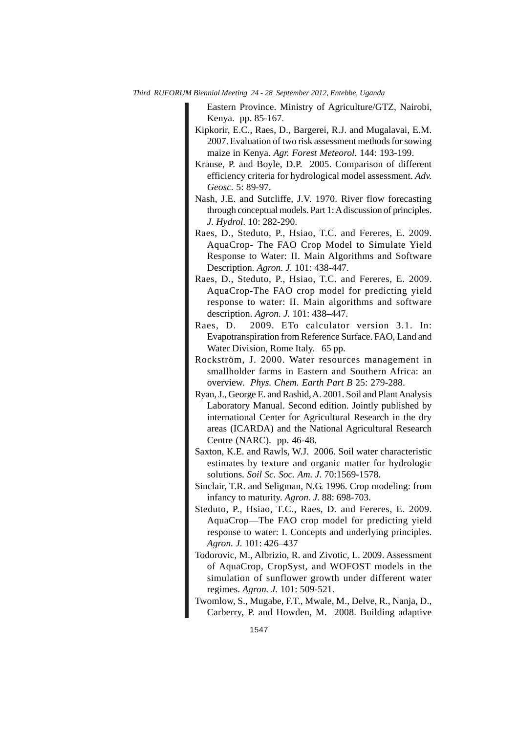Eastern Province. Ministry of Agriculture/GTZ, Nairobi, Kenya. pp. 85-167.

- Kipkorir, E.C., Raes, D., Bargerei, R.J. and Mugalavai, E.M. 2007. Evaluation of two risk assessment methods for sowing maize in Kenya. *Agr. Forest Meteorol.* 144: 193-199.
- Krause, P. and Boyle, D.P. 2005. Comparison of different efficiency criteria for hydrological model assessment. *Adv. Geosc.* 5: 89-97.
- Nash, J.E. and Sutcliffe, J.V. 1970. River flow forecasting through conceptual models. Part 1: A discussion of principles. *J. Hydrol.* 10: 282-290.
- Raes, D., Steduto, P., Hsiao, T.C. and Fereres, E. 2009. AquaCrop- The FAO Crop Model to Simulate Yield Response to Water: II. Main Algorithms and Software Description. *Agron. J.* 101: 438-447.
- Raes, D., Steduto, P., Hsiao, T.C. and Fereres, E. 2009. AquaCrop-The FAO crop model for predicting yield response to water: II. Main algorithms and software description. *Agron. J.* 101: 438–447.
- Raes, D. 2009. ETo calculator version 3.1. In: Evapotranspiration from Reference Surface. FAO, Land and Water Division, Rome Italy. 65 pp.
- Rockström, J. 2000. Water resources management in smallholder farms in Eastern and Southern Africa: an overview. *Phys. Chem. Earth Part B* 25: 279-288.
- Ryan, J., George E. and Rashid, A. 2001. Soil and Plant Analysis Laboratory Manual. Second edition. Jointly published by international Center for Agricultural Research in the dry areas (ICARDA) and the National Agricultural Research Centre (NARC). pp. 46-48.
- Saxton, K.E. and Rawls, W.J. 2006. Soil water characteristic estimates by texture and organic matter for hydrologic solutions. *Soil Sc. Soc. Am. J.* 70:1569-1578.
- Sinclair, T.R. and Seligman, N.G. 1996. Crop modeling: from infancy to maturity. *Agron. J.* 88: 698-703.
- Steduto, P., Hsiao, T.C., Raes, D. and Fereres, E. 2009. AquaCrop—The FAO crop model for predicting yield response to water: I. Concepts and underlying principles. *Agron. J.* 101: 426–437
- Todorovic, M., Albrizio, R. and Zivotic, L. 2009. Assessment of AquaCrop, CropSyst, and WOFOST models in the simulation of sunflower growth under different water regimes. *Agron. J.* 101: 509-521.
- Twomlow, S., Mugabe, F.T., Mwale, M., Delve, R., Nanja, D., Carberry, P. and Howden, M. 2008. Building adaptive